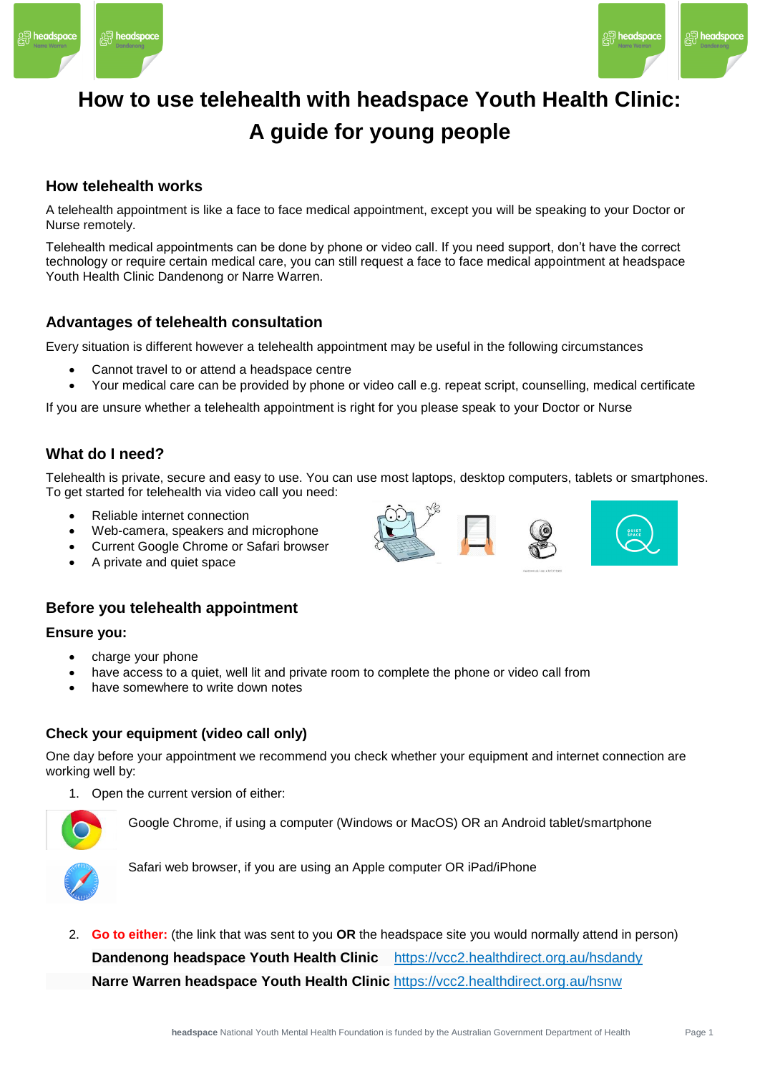



## **How to use telehealth with headspace Youth Health Clinic: A guide for young people**

## **How telehealth works**

A telehealth appointment is like a face to face medical appointment, except you will be speaking to your Doctor or Nurse remotely.

Telehealth medical appointments can be done by phone or video call. If you need support, don't have the correct technology or require certain medical care, you can still request a face to face medical appointment at headspace Youth Health Clinic Dandenong or Narre Warren.

## **Advantages of telehealth consultation**

Every situation is different however a telehealth appointment may be useful in the following circumstances

- Cannot travel to or attend a headspace centre
- Your medical care can be provided by phone or video call e.g. repeat script, counselling, medical certificate

If you are unsure whether a telehealth appointment is right for you please speak to your Doctor or Nurse

#### **What do I need?**

Telehealth is private, secure and easy to use. You can use most laptops, desktop computers, tablets or smartphones. To get started for telehealth via video call you need:

- Reliable internet connection
- Web-camera, speakers and microphone
- Current Google Chrome or Safari browser
- A private and quiet space

## **Before you telehealth appointment**

#### **Ensure you:**

- charge your phone
- have access to a quiet, well lit and private room to complete the phone or video call from
- have somewhere to write down notes

#### **Check your equipment (video call only)**

One day before your appointment we recommend you check whether your equipment and internet connection are working well by:

1. Open the current version of either:



Google Chrome, if using a computer (Windows or MacOS) OR an Android tablet/smartphone



Safari web browser, if you are using an Apple computer OR iPad/iPhone

2. **Go to either:** (the link that was sent to you **OR** the headspace site you would normally attend in person) **Dandenong headspace Youth Health Clinic** <https://vcc2.healthdirect.org.au/hsdandy> **Narre Warren headspace Youth Health Clinic** <https://vcc2.healthdirect.org.au/hsnw>

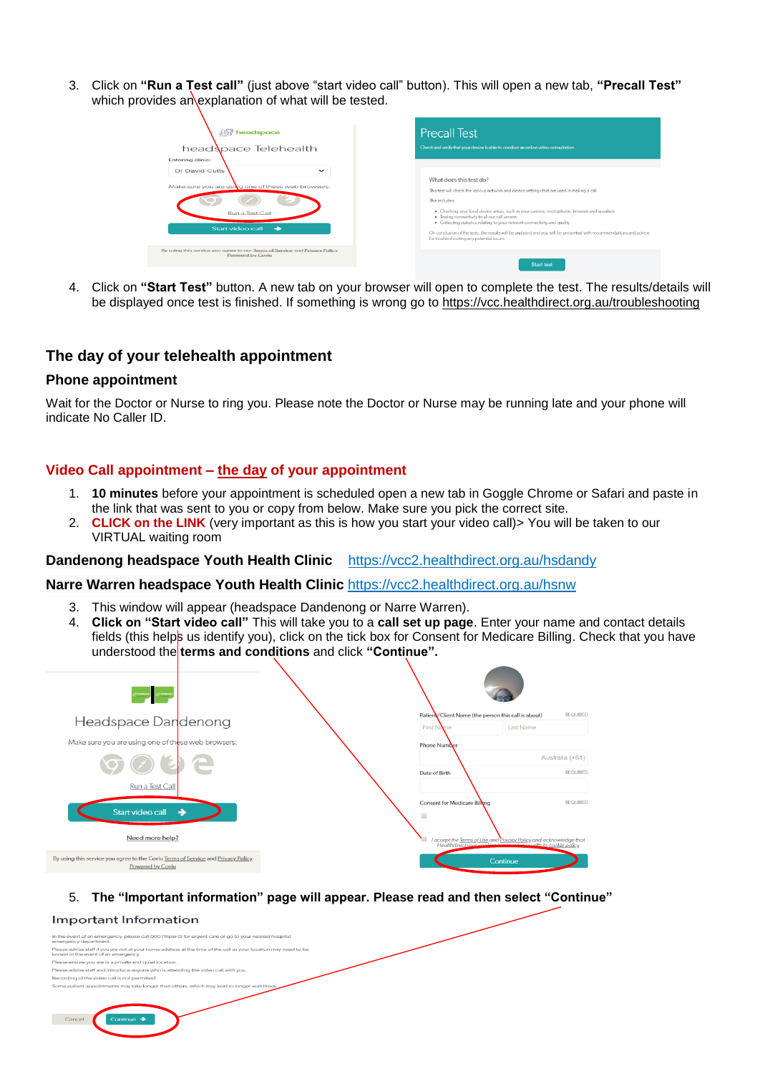3. Click on **"Run a Test call"** (just above "start video call" button). This will open a new tab, **"Precall Test"** which provides an explanation of what will be tested.

| <b>PR</b> headspace<br>head pace Telehealth<br>Entering clinic:                                                           | <b>Precall Test</b><br>Check and verify that your device is able to conduct an online video consultation.                                                                                                                                                                                                                                                                                                                                                                                                                                |
|---------------------------------------------------------------------------------------------------------------------------|------------------------------------------------------------------------------------------------------------------------------------------------------------------------------------------------------------------------------------------------------------------------------------------------------------------------------------------------------------------------------------------------------------------------------------------------------------------------------------------------------------------------------------------|
| Dr David Cutts<br>$\tilde{}$<br>Make sure you are using one of these web browsers:<br>Run a Test Call<br>Start video call | What does this test do?<br>This test will check the various network and device settings that are used in making a call.<br>This includes:<br>· Checking your local device setup, such as your camera, microphone, browser and speakers<br>· Testing connectivity to all our call servers<br>. Collecting statistics relating to your network connectivity and quality<br>On conclusion of the tests, the results will be analysed and you will be presented with recommendations and advice<br>for troubleshooting any potential issues. |
| By using this service you agree to our Terms of Service and Privacy Policy<br><b>Powered by Coviu</b>                     | <b>Start test</b>                                                                                                                                                                                                                                                                                                                                                                                                                                                                                                                        |

4. Click on **"Start Test"** button. A new tab on your browser will open to complete the test. The results/details will be displayed once test is finished. If something is wrong go to<https://vcc.healthdirect.org.au/troubleshooting>

#### **The day of your telehealth appointment**

#### **Phone appointment**

Wait for the Doctor or Nurse to ring you. Please note the Doctor or Nurse may be running late and your phone will indicate No Caller ID.

#### **Video Call appointment – the day of your appointment**

- 1. **10 minutes** before your appointment is scheduled open a new tab in Goggle Chrome or Safari and paste in the link that was sent to you or copy from below. Make sure you pick the correct site.
- 2. **CLICK on the LINK** (very important as this is how you start your video call) > You will be taken to our VIRTUAL waiting room

#### **Dandenong headspace Youth Health Clinic** <https://vcc2.healthdirect.org.au/hsdandy>

#### **Narre Warren headspace Youth Health Clinic** <https://vcc2.healthdirect.org.au/hsnw>

- 3. This window will appear (headspace Dandenong or Narre Warren).
- 4. **Click on "Start video call"** This will take you to a **call set up page**. Enter your name and contact details fields (this helps us identify you), click on the tick box for Consent for Medicare Billing. Check that you have understood the **terms and conditions** and click **"Continue".**



5. **The "Important information" page will appear. Please read and then select "Continue"**

#### Important Information

| In the event of an emergency, please call OOO (Triple 0) for urgent care or go to your nearest hospital<br>emergency department.                       |
|--------------------------------------------------------------------------------------------------------------------------------------------------------|
| Please advise staff if you are not at your home address at the time of the call as your location may need to be<br>known in the event of an emergency. |
| Please ensure you are in a private and quiet location.                                                                                                 |
| Please advise staff and introduce anyone who is attending the video call with you.                                                                     |
| Recording of the video call is not permitted.                                                                                                          |
| Some patient appointments may take longer than others, which may lead to longer wait times.                                                            |
|                                                                                                                                                        |